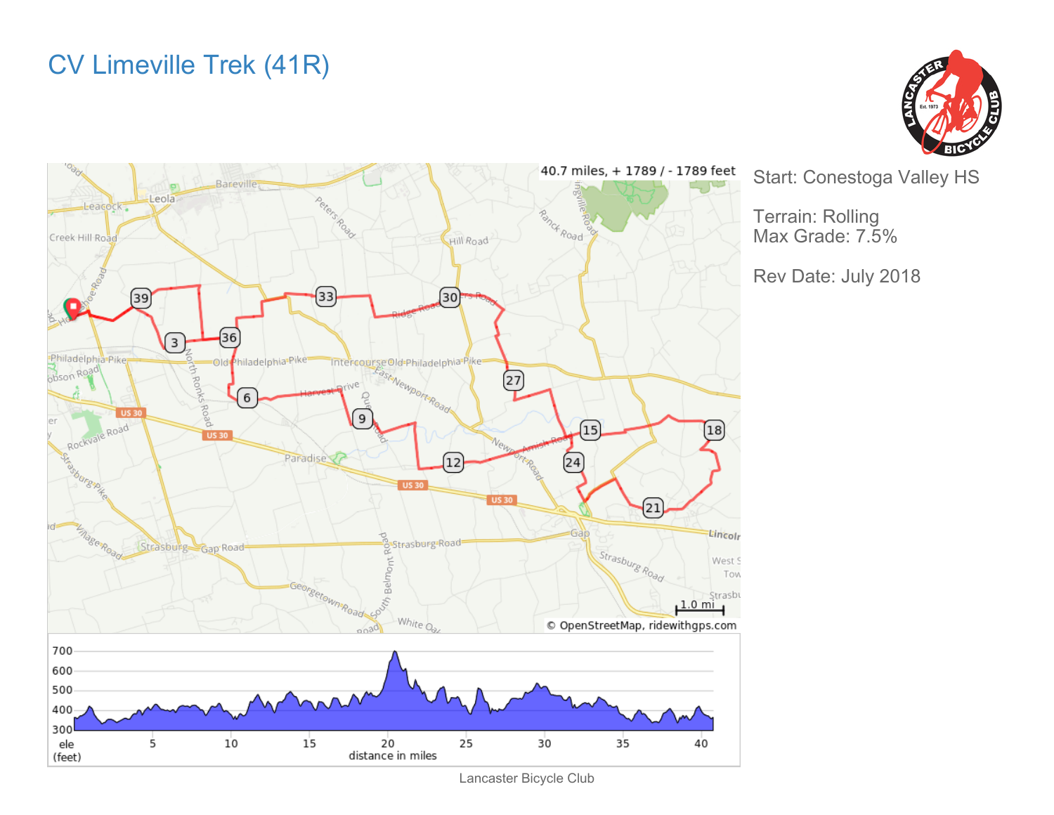## CV Limeville Trek (41R)





Start: Conestoga Valley HS

Terrain: Rolling Max Grade: 7.5%

Rev Date: July 2018